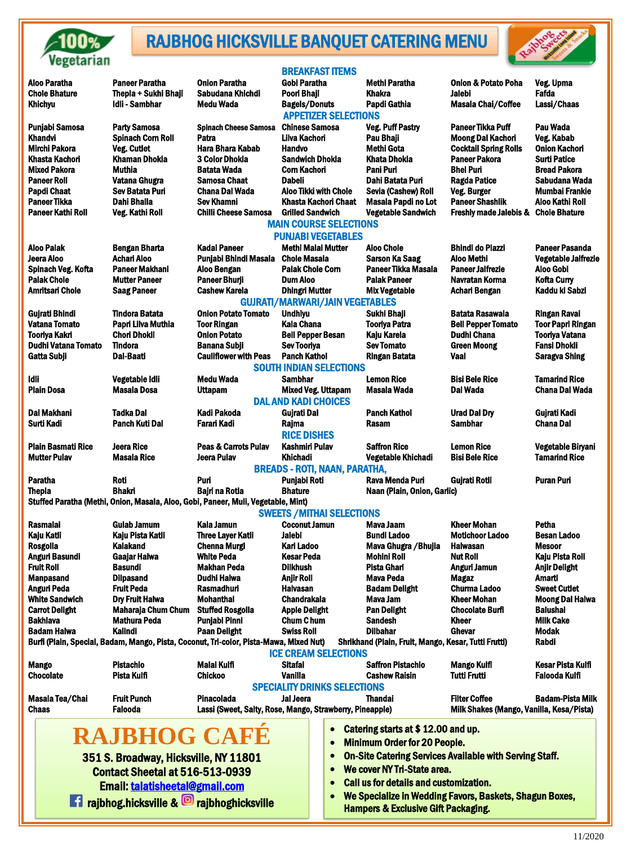

j

## RAJBHOG HICKSVILLE BANQUET CATERING MENU



| TVEVMININI                                            |                                                                                                                                             |                                                                               |                                                |                                                                             |                                      |                                                                  |                                              |
|-------------------------------------------------------|---------------------------------------------------------------------------------------------------------------------------------------------|-------------------------------------------------------------------------------|------------------------------------------------|-----------------------------------------------------------------------------|--------------------------------------|------------------------------------------------------------------|----------------------------------------------|
| <b>Aloo Paratha</b>                                   | <b>Paneer Paratha</b>                                                                                                                       | <b>Onion Paratha</b>                                                          | Gobi Paratha                                   | <b>BREAKFAST ITEMS</b>                                                      | <b>Methi Paratha</b>                 | <b>Onion &amp; Potato Poha</b>                                   | Veg. Upma                                    |
| <b>Chole Bhature</b>                                  | Thepla + Sukhi Bhaji                                                                                                                        | Sabudana Khichdi                                                              | <b>Poori Bhaji</b>                             |                                                                             | <b>Khakra</b>                        | <b>Jalebi</b>                                                    | Fafda                                        |
| <b>Khichyu</b>                                        | <b>Idli - Sambhar</b>                                                                                                                       | <b>Medu Wada</b>                                                              | <b>Bagels/Donuts</b>                           |                                                                             | Papdi Gathia                         | <b>Masala Chai/Coffee</b>                                        | Lassi/Chaas                                  |
|                                                       |                                                                                                                                             |                                                                               |                                                | <b>APPETIZER SELECTIONS</b>                                                 |                                      |                                                                  |                                              |
| Punjabi Samosa                                        | <b>Party Samosa</b>                                                                                                                         | <b>Spinach Cheese Samosa</b>                                                  | <b>Chinese Samosa</b>                          |                                                                             | <b>Veg. Puff Pastry</b>              | <b>Paneer Tikka Puff</b>                                         | <b>Pau Wada</b>                              |
| <b>Khandvi</b><br><b>Mirchi Pakora</b>                | <b>Spinach Corn Roll</b><br><b>Veg. Cutlet</b>                                                                                              | Patra<br><b>Hara Bhara Kabab</b>                                              | Lilva Kachori<br><b>Handvo</b>                 |                                                                             | Pau Bhaji<br><b>Methi Gota</b>       | <b>Moong Dal Kachori</b><br><b>Cocktail Spring Rolls</b>         | Veg. Kabab<br><b>Onion Kachori</b>           |
| <b>Khasta Kachori</b>                                 | <b>Khaman Dhokla</b>                                                                                                                        | <b>3 Color Dhokla</b>                                                         | <b>Sandwich Dhokla</b>                         |                                                                             | <b>Khata Dhokla</b>                  | <b>Paneer Pakora</b>                                             | <b>Surti Patice</b>                          |
| <b>Mixed Pakora</b>                                   | <b>Muthia</b>                                                                                                                               | <b>Batata Wada</b>                                                            | <b>Corn Kachori</b>                            |                                                                             | <b>Pani Puri</b>                     | <b>Bhel Puri</b>                                                 | <b>Bread Pakora</b>                          |
| <b>Paneer Roll</b>                                    | Vatana Ghugra                                                                                                                               | <b>Samosa Chaat</b>                                                           | <b>Dabeli</b>                                  |                                                                             | Dahi Batata Puri                     | <b>Ragda Patice</b>                                              | Sabudana Wada                                |
| <b>Papdi Chaat</b>                                    | <b>Sev Batata Puri</b>                                                                                                                      | <b>Chana Dal Wada</b>                                                         |                                                | <b>Aloo Tikki with Chole</b>                                                | Sevia (Cashew) Roll                  | Veg. Burger                                                      | <b>Mumbai Frankie</b>                        |
| <b>Paneer Tikka</b>                                   | Dahi Bhalla                                                                                                                                 | <b>Sev Khamni</b>                                                             |                                                | <b>Khasta Kachori Chaat</b>                                                 | Masala Papdi no Lot                  | <b>Paneer Shashlik</b>                                           | <b>Aloo Kathi Roll</b>                       |
| <b>Paneer Kathi Roll</b>                              | Veg. Kathi Roll                                                                                                                             | <b>Chilli Cheese Samosa</b>                                                   | <b>Grilled Sandwich</b>                        |                                                                             | <b>Vegetable Sandwich</b>            | <b>Freshly made Jalebis &amp;</b>                                | <b>Chole Bhature</b>                         |
|                                                       |                                                                                                                                             |                                                                               |                                                | <b>MAIN COURSE SELECTIONS</b>                                               |                                      |                                                                  |                                              |
|                                                       |                                                                                                                                             |                                                                               |                                                | <b>PUNJABI VEGETABLES</b>                                                   |                                      |                                                                  |                                              |
| <b>Aloo Palak</b>                                     | <b>Bengan Bharta</b>                                                                                                                        | <b>Kadai Paneer</b>                                                           | <b>Methi Malai Mutter</b>                      |                                                                             | <b>Aloo Chole</b>                    | <b>Bhindi do Piazzi</b>                                          | <b>Paneer Pasanda</b>                        |
| Jeera Aloo                                            | <b>Achari Aloo</b>                                                                                                                          | Punjabi Bhindi Masala                                                         | <b>Chole Masala</b>                            |                                                                             | <b>Sarson Ka Saag</b>                | <b>Aloo Methi</b>                                                | <b>Vegetable Jalfrezie</b>                   |
| Spinach Veg. Kofta                                    | <b>Paneer Makhani</b>                                                                                                                       | Aloo Bengan                                                                   | <b>Palak Chole Corn</b>                        |                                                                             | Paneer Tikka Masala                  | <b>Paneer Jalfrezie</b>                                          | <b>Aloo Gobi</b>                             |
| <b>Palak Chole</b>                                    | <b>Mutter Paneer</b>                                                                                                                        | <b>Paneer Bhurji</b>                                                          | <b>Dum Aloo</b>                                |                                                                             | <b>Palak Paneer</b>                  | Navratan Korma                                                   | <b>Kofta Curry</b>                           |
| <b>Amritsari Chole</b>                                | <b>Saag Paneer</b>                                                                                                                          | <b>Cashew Karela</b>                                                          | <b>Dhingri Mutter</b>                          |                                                                             | <b>Mix Vegetable</b>                 | <b>Achari Bengan</b>                                             | Kaddu ki Sabzi                               |
|                                                       |                                                                                                                                             |                                                                               |                                                | <b>GUJRATI/MARWARI/JAIN VEGETABLES</b>                                      |                                      |                                                                  |                                              |
| <b>Gujrati Bhindi</b>                                 | <b>Tindora Batata</b>                                                                                                                       | <b>Onion Potato Tomato</b>                                                    | <b>Undhiyu</b>                                 |                                                                             | Sukhi Bhaji                          | <b>Batata Rasawala</b>                                           | <b>Ringan Ravai</b>                          |
| <b>Vatana Tomato</b>                                  | Papri Lilva Muthia                                                                                                                          | <b>Toor Ringan</b>                                                            | <b>Kala Chana</b>                              |                                                                             | <b>Tooriya Patra</b>                 | <b>Bell Pepper Tomato</b>                                        | <b>Toor Papri Ringan</b>                     |
| Tooriya Kakri<br><b>Dudhi Vatana Tomato</b>           | <b>Chori Dhokli</b><br>Tindora                                                                                                              | <b>Onion Potato</b><br><b>Banana Subji</b>                                    | <b>Bell Pepper Besan</b><br><b>Sev Tooriya</b> |                                                                             | Kaju Karela<br><b>Sev Tomato</b>     | <b>Dudhi Chana</b><br><b>Green Moong</b>                         | <b>Tooriya Vatana</b><br><b>Fansi Dhokli</b> |
| Gatta Subji                                           | <b>Dal-Baati</b>                                                                                                                            | <b>Cauliflower with Peas</b>                                                  | <b>Panch Kathol</b>                            |                                                                             | <b>Ringan Batata</b>                 | <b>Vaal</b>                                                      | <b>Saragva Shing</b>                         |
|                                                       |                                                                                                                                             |                                                                               |                                                | <b>SOUTH INDIAN SELECTIONS</b>                                              |                                      |                                                                  |                                              |
| <b>Idli</b>                                           | Vegetable Idli                                                                                                                              | <b>Medu Wada</b>                                                              | <b>Sambhar</b>                                 |                                                                             | <b>Lemon Rice</b>                    | <b>Bisi Bele Rice</b>                                            | <b>Tamarind Rice</b>                         |
| <b>Plain Dosa</b>                                     | <b>Masala Dosa</b>                                                                                                                          | <b>Uttapam</b>                                                                | <b>Mixed Veg. Uttapam</b>                      |                                                                             | <b>Masala Wada</b>                   | Dal Wada                                                         | <b>Chana Dal Wada</b>                        |
|                                                       |                                                                                                                                             |                                                                               | <b>DAL AND KADI CHOICES</b>                    |                                                                             |                                      |                                                                  |                                              |
| <b>Dal Makhani</b>                                    | <b>Tadka Dal</b>                                                                                                                            | <b>Kadi Pakoda</b>                                                            | <b>Gujrati Dal</b>                             |                                                                             | <b>Panch Kathol</b>                  | <b>Urad Dal Dry</b>                                              | Gujrati Kadi                                 |
| Surti Kadi                                            | <b>Panch Kuti Dal</b>                                                                                                                       | Farari Kadi                                                                   | Rajma                                          |                                                                             | <b>Rasam</b>                         | <b>Sambhar</b>                                                   | <b>Chana Dal</b>                             |
|                                                       |                                                                                                                                             |                                                                               | <b>RICE DISHES</b>                             |                                                                             |                                      |                                                                  |                                              |
| <b>Plain Basmati Rice</b>                             | <b>Jeera Rice</b>                                                                                                                           | <b>Peas &amp; Carrots Pulav</b>                                               | <b>Kashmiri Pulav</b>                          |                                                                             | <b>Saffron Rice</b>                  | <b>Lemon Rice</b>                                                | Vegetable Biryani                            |
| <b>Mutter Pulav</b>                                   | <b>Masala Rice</b>                                                                                                                          | <b>Jeera Pulav</b>                                                            | <b>Khichadi</b>                                |                                                                             | Vegetable Khichadi                   | <b>Bisi Bele Rice</b>                                            | <b>Tamarind Rice</b>                         |
|                                                       |                                                                                                                                             |                                                                               |                                                | <b>BREADS - ROTI, NAAN, PARATHA,</b>                                        |                                      |                                                                  |                                              |
| <b>Paratha</b>                                        | Roti                                                                                                                                        | Puri                                                                          | Punjabi Roti                                   |                                                                             | Rava Menda Puri                      | Gujrati Rotli                                                    | <b>Puran Puri</b>                            |
| Thepla                                                | <b>Bhakri</b>                                                                                                                               | Bajri na Rotla                                                                | <b>Bhature</b>                                 |                                                                             | Naan (Plain, Onion, Garlic)          |                                                                  |                                              |
|                                                       | Stuffed Paratha (Methi, Onion, Masala, Aloo, Gobi, Paneer, Muli, Vegetable, Mint)                                                           |                                                                               |                                                |                                                                             |                                      |                                                                  |                                              |
|                                                       |                                                                                                                                             |                                                                               |                                                | <b>SWEETS / MITHAI SELECTIONS</b>                                           |                                      |                                                                  |                                              |
| <b>Rasmalai</b>                                       | <b>Gulab Jamum</b>                                                                                                                          | Kala Jamun                                                                    | <b>Coconut Jamun</b><br><b>Jalebi</b>          |                                                                             | Maya Jaam<br><b>Bundi Ladoo</b>      | <b>Kheer Mohan</b><br><b>Motichoor Ladoo</b>                     | Petha<br><b>Besan Ladoo</b>                  |
| Kaju Katli<br><b>Rosgolla</b>                         | Kaju Pista Katli<br><b>Kalakand</b>                                                                                                         | <b>Three Layer Katli</b><br><b>Chenna Murgi</b>                               | <b>Kari Ladoo</b>                              |                                                                             | Mava Ghugra / Bhujia                 | <b>Halwasan</b>                                                  | <b>Mesoor</b>                                |
| Anguri Basundi                                        | Gaajar Halwa                                                                                                                                | <b>White Peda</b>                                                             | <b>Kesar Peda</b>                              |                                                                             | Mohini Roll                          | <b>Nut Roll</b>                                                  | Kaju Pista Roll                              |
| <b>Fruit Roll</b>                                     | <b>Basundi</b>                                                                                                                              | <b>Makhan Peda</b>                                                            | <b>Dilkhush</b>                                |                                                                             | <b>Pista Ghari</b>                   | Anguri Jamun                                                     | <b>Anjir Delight</b>                         |
| <b>Manpasand</b>                                      | <b>Dilpasand</b>                                                                                                                            | Dudhi Halwa                                                                   | <b>Anjir Roll</b>                              |                                                                             | <b>Mava Peda</b>                     | <b>Magaz</b>                                                     | Amarti                                       |
| Anguri Peda                                           | <b>Fruit Peda</b>                                                                                                                           | <b>Rasmadhuri</b>                                                             | <b>Halvasan</b>                                |                                                                             | <b>Badam Delight</b>                 | <b>Churma Ladoo</b>                                              | <b>Sweet Cutlet</b>                          |
| <b>White Sandwich</b>                                 | <b>Dry Fruit Halwa</b>                                                                                                                      | <b>Mohanthal</b>                                                              | <b>Chandrakala</b>                             |                                                                             | Maya Jam                             | <b>Kheer Mohan</b>                                               | <b>Moong Dal Halwa</b>                       |
| <b>Carrot Delight</b>                                 | <b>Maharaja Chum Chum</b>                                                                                                                   | <b>Stuffed Rosgolla</b>                                                       | <b>Apple Delight</b>                           |                                                                             | <b>Pan Delight</b>                   | <b>Chocolate Burfi</b>                                           | <b>Balushai</b>                              |
| <b>Bakhlava</b>                                       | <b>Mathura Peda</b>                                                                                                                         | Punjabi Pinni                                                                 | <b>Chum Chum</b>                               |                                                                             | <b>Sandesh</b>                       | <b>Kheer</b>                                                     | <b>Milk Cake</b>                             |
| <b>Badam Halwa</b>                                    | <b>Kalindi</b>                                                                                                                              | <b>Paan Delight</b>                                                           | <b>Swiss Roll</b>                              |                                                                             | <b>Dilbahar</b>                      | <b>Ghevar</b>                                                    | <b>Modak</b>                                 |
|                                                       | Burfi (Plain, Special, Badam, Mango, Pista, Coconut, Tri-color, Pista-Mawa, Mixed Nut) Shrikhand (Plain, Fruit, Mango, Kesar, Tutti Frutti) |                                                                               |                                                |                                                                             |                                      |                                                                  | Rabdi                                        |
|                                                       |                                                                                                                                             |                                                                               |                                                | <b>ICE CREAM SELECTIONS</b>                                                 |                                      |                                                                  |                                              |
| <b>Mango</b>                                          | <b>Pistachio</b>                                                                                                                            | <b>Malai Kulfi</b>                                                            | <b>Sitafal</b>                                 |                                                                             | <b>Saffron Pistachio</b>             | <b>Mango Kulfi</b>                                               | <b>Kesar Pista Kulfi</b>                     |
| <b>Chocolate</b>                                      | Pista Kulfi                                                                                                                                 | <b>Chickoo</b>                                                                | <b>Vanilla</b>                                 |                                                                             | <b>Cashew Raisin</b>                 | <b>Tutti Frutti</b>                                              | Falooda Kulfi                                |
|                                                       |                                                                                                                                             |                                                                               |                                                | <b>SPECIALITY DRINKS SELECTIONS</b>                                         |                                      |                                                                  |                                              |
| Masala Tea/Chai<br><b>Chaas</b>                       | <b>Fruit Punch</b><br><b>Falooda</b>                                                                                                        | <b>Pinacolada</b><br>Lassi (Sweet, Salty, Rose, Mango, Strawberry, Pineapple) | <b>Jal Jeera</b>                               |                                                                             | <b>Thandai</b>                       | <b>Filter Coffee</b><br>Milk Shakes (Mango, Vanilla, Kesa/Pista) | <b>Badam-Pista Milk</b>                      |
|                                                       |                                                                                                                                             |                                                                               |                                                |                                                                             |                                      |                                                                  |                                              |
|                                                       |                                                                                                                                             |                                                                               |                                                |                                                                             | • Catering starts at \$12.00 and up. |                                                                  |                                              |
|                                                       | <b>RAJBHOG CAFÉ</b>                                                                                                                         |                                                                               |                                                | <b>Minimum Order for 20 People.</b><br>$\bullet$                            |                                      |                                                                  |                                              |
|                                                       |                                                                                                                                             |                                                                               |                                                |                                                                             |                                      |                                                                  |                                              |
| 351 S. Broadway, Hicksville, NY 11801                 |                                                                                                                                             |                                                                               |                                                | <b>On-Site Catering Services Available with Serving Staff.</b><br>$\bullet$ |                                      |                                                                  |                                              |
| <b>Contact Sheetal at 516-513-0939</b>                |                                                                                                                                             |                                                                               |                                                | We cover NY Tri-State area.                                                 |                                      |                                                                  |                                              |
| <b>Email: talatisheetal@gmail.com</b>                 |                                                                                                                                             |                                                                               |                                                | <b>Call us for details and customization.</b>                               |                                      |                                                                  |                                              |
| <b>1 rajbhog.hicksville &amp; @ rajbhoghicksville</b> |                                                                                                                                             |                                                                               |                                                |                                                                             |                                      | We Specialize in Wedding Favors, Baskets, Shagun Boxes,          |                                              |
|                                                       |                                                                                                                                             |                                                                               |                                                | <b>Hampers &amp; Exclusive Gift Packaging.</b>                              |                                      |                                                                  |                                              |